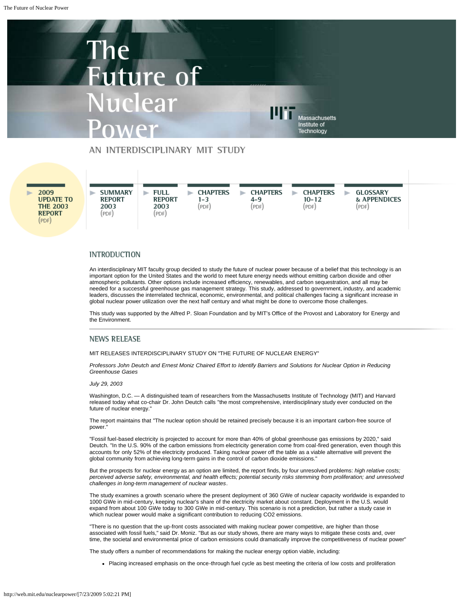## The Future of Nuclear Powei

Massachusetts Institute of Technology

#### AN INTERDISCIPLINARY MIT STUDY

2009 **UPDATE TO THE 2003 REPORT**  $(PDF)$ 



#### **INTRODUCTION**

An interdisciplinary MIT faculty group decided to study the future of nuclear power because of a belief that this technology is an important option for the United States and the world to meet future energy needs without emitting carbon dioxide and other atmospheric pollutants. Other options include increased efficiency, renewables, and carbon sequestration, and all may be needed for a successful greenhouse gas management strategy. This study, addressed to government, industry, and academic leaders, discusses the interrelated technical, economic, environmental, and political challenges facing a significant increase in global nuclear power utilization over the next half century and what might be done to overcome those challenges.

This study was supported by the Alfred P. Sloan Foundation and by MIT's Office of the Provost and Laboratory for Energy and the Environment.

#### **NEWS RELEASE**

MIT RELEASES INTERDISCIPLINARY STUDY ON "THE FUTURE OF NUCLEAR ENERGY"

*Professors John Deutch and Ernest Moniz Chaired Effort to Identify Barriers and Solutions for Nuclear Option in Reducing Greenhouse Gases*

*July 29, 2003*

Washington, D.C. - A distinguished team of researchers from the Massachusetts Institute of Technology (MIT) and Harvard released today what co-chair Dr. John Deutch calls "the most comprehensive, interdisciplinary study ever conducted on the future of nuclear energy."

The report maintains that "The nuclear option should be retained precisely because it is an important carbon-free source of power."

"Fossil fuel-based electricity is projected to account for more than 40% of global greenhouse gas emissions by 2020," said Deutch. "In the U.S. 90% of the carbon emissions from electricity generation come from coal-fired generation, even though this accounts for only 52% of the electricity produced. Taking nuclear power off the table as a viable alternative will prevent the global community from achieving long-term gains in the control of carbon dioxide emissions."

But the prospects for nuclear energy as an option are limited, the report finds, by four unresolved problems: *high relative costs; perceived adverse safety, environmental, and health effects; potential security risks stemming from proliferation; and unresolved challenges in long-term management of nuclear wastes*.

The study examines a growth scenario where the present deployment of 360 GWe of nuclear capacity worldwide is expanded to 1000 GWe in mid-century, keeping nuclear's share of the electricity market about constant. Deployment in the U.S. would expand from about 100 GWe today to 300 GWe in mid-century. This scenario is not a prediction, but rather a study case in which nuclear power would make a significant contribution to reducing CO2 emissions.

"There is no question that the up-front costs associated with making nuclear power competitive, are higher than those associated with fossil fuels," said Dr. Moniz. "But as our study shows, there are many ways to mitigate these costs and, over time, the societal and environmental price of carbon emissions could dramatically improve the competitiveness of nuclear power"

The study offers a number of recommendations for making the nuclear energy option viable, including:

Placing increased emphasis on the once-through fuel cycle as best meeting the criteria of low costs and proliferation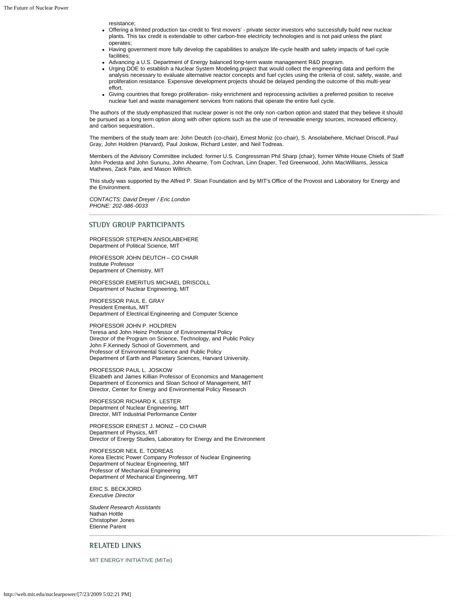resistance;

- Offering a limited production tax-credit to 'first movers' private sector investors who successfully build new nuclear plants. This tax credit is extendable to other carbon-free electricity technologies and is not paid unless the plant operates;
- Having government more fully develop the capabilities to analyze life-cycle health and safety impacts of fuel cycle facilities;
- Advancing a U.S. Department of Energy balanced long-term waste management R&D program.
- Urging DOE to establish a Nuclear System Modeling project that would collect the engineering data and perform the analysis necessary to evaluate alternative reactor concepts and fuel cycles using the criteria of cost, safety, waste, and proliferation resistance. Expensive development projects should be delayed pending the outcome of this multi-year effort.
- Giving countries that forego proliferation- risky enrichment and reprocessing activities a preferred position to receive nuclear fuel and waste management services from nations that operate the entire fuel cycle.

The authors of the study emphasized that nuclear power is not the only non-carbon option and stated that they believe it should be pursued as a long term option along with other options such as the use of renewable energy sources, increased efficiency, and carbon sequestration..

The members of the study team are: John Deutch (co-chair), Ernest Moniz (co-chair), S. Ansolabehere, Michael Driscoll, Paul Gray, John Holdren (Harvard), Paul Joskow, Richard Lester, and Neil Todreas.

Members of the Advisory Committee included: former U.S. Congressman Phil Sharp (chair), former White House Chiefs of Staff John Podesta and John Sununu, John Ahearne, Tom Cochran, Linn Draper, Ted Greenwood, John MacWilliams, Jessica Mathews, Zack Pate, and Mason Willrich.

This study was supported by the Alfred P. Sloan Foundation and by MIT's Office of the Provost and Laboratory for Energy and the Environment.

*CONTACTS: David Dreyer / Eric London PHONE: 202-986-0033*

#### STUDY GROUP PARTICIPANTS

PROFESSOR STEPHEN ANSOLABEHERE Department of Political Science, MIT

PROFESSOR JOHN DEUTCH – CO CHAIR Institute Professor Department of Chemistry, MIT

PROFESSOR EMERITUS MICHAEL DRISCOLL Department of Nuclear Engineering, MIT

PROFESSOR PAUL E. GRAY President Emeritus, MIT Department of Electrical Engineering and Computer Science

PROFESSOR JOHN P. HOLDREN Teresa and John Heinz Professor of Environmental Policy Director of the Program on Science, Technology, and Public Policy John F.Kennedy School of Government, and Professor of Environmental Science and Public Policy Department of Earth and Planetary Sciences, Harvard University.

PROFESSOR PAUL L. JOSKOW Elizabeth and James Killian Professor of Economics and Management Department of Economics and Sloan School of Management, MIT Director, Center for Energy and Environmental Policy Research

PROFESSOR RICHARD K. LESTER Department of Nuclear Engineering, MIT Director, MIT Industrial Performance Center

PROFESSOR ERNEST J. MONIZ – CO CHAIR Department of Physics, MIT Director of Energy Studies, Laboratory for Energy and the Environment

PROFESSOR NEIL E. TODREAS Korea Electric Power Company Professor of Nuclear Engineering Department of Nuclear Engineering, MIT Professor of Mechanical Engineering Department of Mechanical Engineering, MIT

ERIC S. BECKJORD *Executive Director*

*Student Research Assistants* Nathan Hottle Christopher Jones Etienne Parent

#### RELATED LINKS

[MIT ENERGY INITIATIVE \(MITei\)](http://web.mit.edu/mitei/)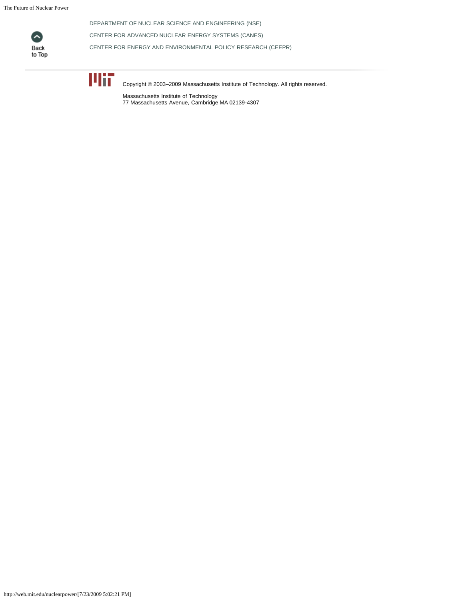The Future of Nuclear Power



[DEPARTMENT OF NUCLEAR SCIENCE AND ENGINEERING \(NSE\)](http://web.mit.edu/nse/)

[CENTER FOR ADVANCED NUCLEAR ENERGY SYSTEMS \(CANES\)](http://web.mit.edu/canes/research/fuelcycle.html)

[CENTER FOR ENERGY AND ENVIRONMENTAL POLICY RESEARCH \(CEEPR\)](http://web.mit.edu/ceepr/www/publications/workingpapers.html)



Copyright © 2003–2009 Massachusetts Institute of Technology. All rights reserved.

Massachusetts Institute of Technology 77 Massachusetts Avenue, Cambridge MA 02139-4307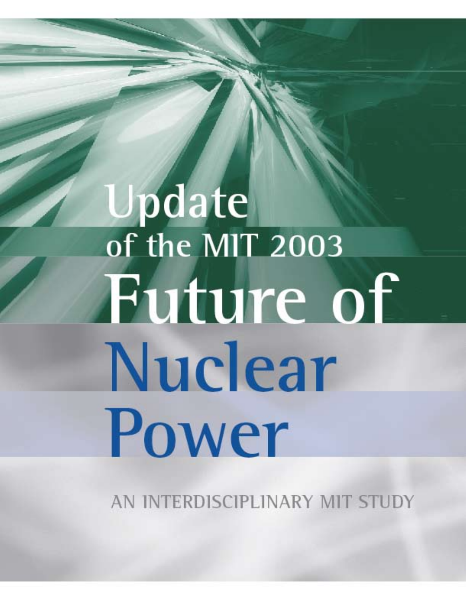# **Update**<br>of the MIT 2003 Future of Nuclear Power

AN INTERDISCIPLINARY MIT STUDY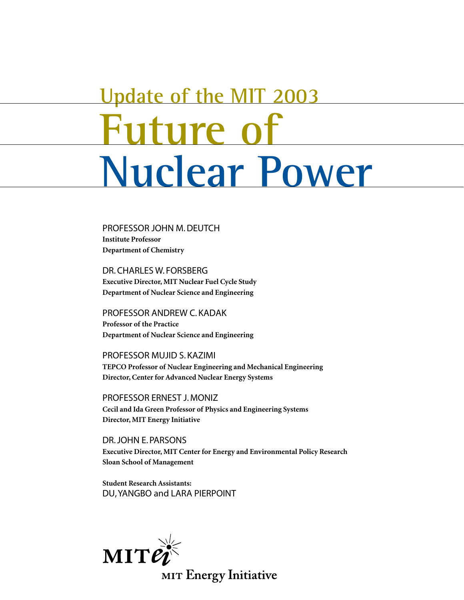# **Future of Nuclear Power Update of the MIT 2003**

PROFESSOR JOHN M. DEUTCH **Institute Professor Department of Chemistry**

DR. CHARLES W. FORSBERG **Executive Director, MIT Nuclear Fuel Cycle Study Department of Nuclear Science and Engineering**

PROFESSOR ANDREW C. KADAK **Professor of the Practice Department of Nuclear Science and Engineering**

PROFESSOR MUJID S. KAZIMI **TEPCO Professor of Nuclear Engineering and Mechanical Engineering Director, Center for Advanced Nuclear Energy Systems**

PROFESSOR ERNEST J. MONIZ **Cecil and Ida Green Professor of Physics and Engineering Systems Director, MIT Energy Initiative**

DR. JOHN E. PARSONS **Executive Director, MIT Center for Energy and Environmental Policy Research Sloan School of Management**

**Student Research Assistants:**  DU, YANGBO and LARA PIERPOINT

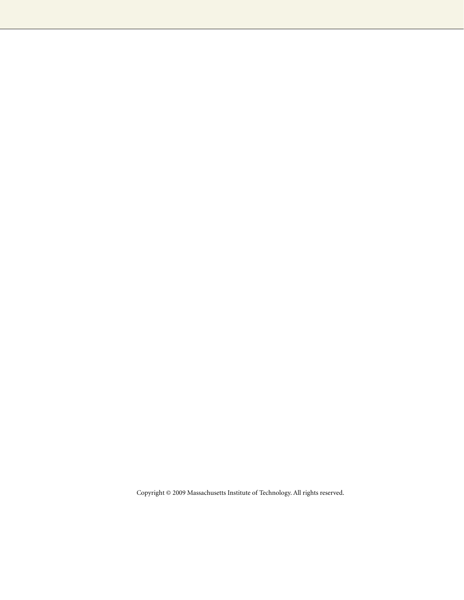Copyright © 2009 Massachusetts Institute of Technology. All rights reserved.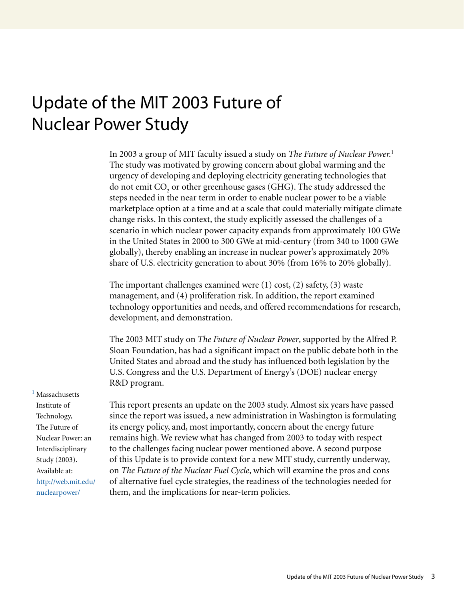### Update of the MIT 2003 Future of Nuclear Power Study

In 2003 a group of MIT faculty issued a study on *The Future of Nuclear Power.*<sup>1</sup> The study was motivated by growing concern about global warming and the urgency of developing and deploying electricity generating technologies that do not emit  $\mathrm{CO}_\mathrm{_2}$  or other greenhouse gases (GHG). The study addressed the steps needed in the near term in order to enable nuclear power to be a viable marketplace option at a time and at a scale that could materially mitigate climate change risks. In this context, the study explicitly assessed the challenges of a scenario in which nuclear power capacity expands from approximately 100 GWe in the United States in 2000 to 300 GWe at mid-century (from 340 to 1000 GWe globally), thereby enabling an increase in nuclear power's approximately 20% share of U.S. electricity generation to about 30% (from 16% to 20% globally).

The important challenges examined were (1) cost, (2) safety, (3) waste management, and (4) proliferation risk. In addition, the report examined technology opportunities and needs, and offered recommendations for research, development, and demonstration.

The 2003 MIT study on *The Future of Nuclear Power*, supported by the Alfred P. Sloan Foundation, has had a significant impact on the public debate both in the United States and abroad and the study has influenced both legislation by the U.S. Congress and the U.S. Department of Energy's (DOE) nuclear energy R&D program.

**Massachusetts** Institute of Technology, The Future of Nuclear Power: an Interdisciplinary Study (2003). Available at: [http://web.mit.edu/](http://web.mit.edu/nuclearpower/) nuclearpower/

This report presents an update on the 2003 study. Almost six years have passed since the report was issued, a new administration in Washington is formulating its energy policy, and, most importantly, concern about the energy future remains high. We review what has changed from 2003 to today with respect to the challenges facing nuclear power mentioned above. A second purpose of this Update is to provide context for a new MIT study, currently underway, on *The Future of the Nuclear Fuel Cycle*, which will examine the pros and cons of alternative fuel cycle strategies, the readiness of the technologies needed for them, and the implications for near-term policies.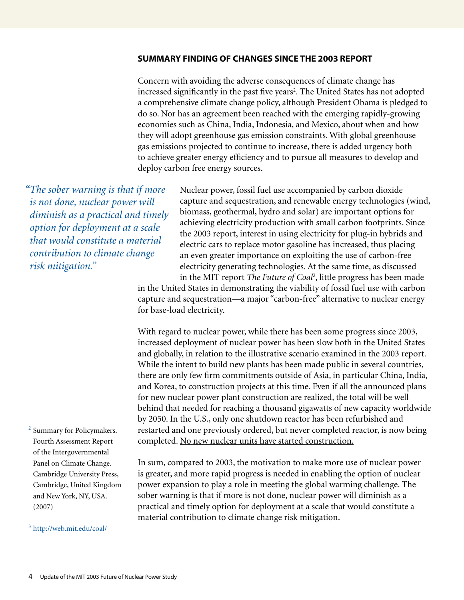#### **Summary finding of changes since the 2003 report**

Concern with avoiding the adverse consequences of climate change has increased significantly in the past five years<sup>2</sup>. The United States has not adopted a comprehensive climate change policy, although President Obama is pledged to do so. Nor has an agreement been reached with the emerging rapidly-growing economies such as China, India, Indonesia, and Mexico, about when and how they will adopt greenhouse gas emission constraints. With global greenhouse gas emissions projected to continue to increase, there is added urgency both to achieve greater energy efficiency and to pursue all measures to develop and deploy carbon free energy sources.

*"The sober warning is that if more is not done, nuclear power will diminish as a practical and timely option for deployment at a scale that would constitute a material contribution to climate change risk mitigation."*

Nuclear power, fossil fuel use accompanied by carbon dioxide capture and sequestration, and renewable energy technologies (wind, biomass, geothermal, hydro and solar) are important options for achieving electricity production with small carbon footprints. Since the 2003 report, interest in using electricity for plug-in hybrids and electric cars to replace motor gasoline has increased, thus placing an even greater importance on exploiting the use of carbon-free electricity generating technologies. At the same time, as discussed in the MIT report *The Future of Coal*<sup>3</sup> , little progress has been made

in the United States in demonstrating the viability of fossil fuel use with carbon capture and sequestration—a major "carbon-free" alternative to nuclear energy for base-load electricity.

With regard to nuclear power, while there has been some progress since 2003, increased deployment of nuclear power has been slow both in the United States and globally, in relation to the illustrative scenario examined in the 2003 report. While the intent to build new plants has been made public in several countries, there are only few firm commitments outside of Asia, in particular China, India, and Korea, to construction projects at this time. Even if all the announced plans for new nuclear power plant construction are realized, the total will be well behind that needed for reaching a thousand gigawatts of new capacity worldwide by 2050. In the U.S., only one shutdown reactor has been refurbished and restarted and one previously ordered, but never completed reactor, is now being completed. No new nuclear units have started construction.

In sum, compared to 2003, the motivation to make more use of nuclear power is greater, and more rapid progress is needed in enabling the option of nuclear power expansion to play a role in meeting the global warming challenge. The sober warning is that if more is not done, nuclear power will diminish as a practical and timely option for deployment at a scale that would constitute a material contribution to climate change risk mitigation.

2 Summary for Policymakers. Fourth Assessment Report of the Intergovernmental Panel on Climate Change. Cambridge University Press, Cambridge, United Kingdom and New York, NY, USA. (2007)

3 http://web.mit.edu/coal/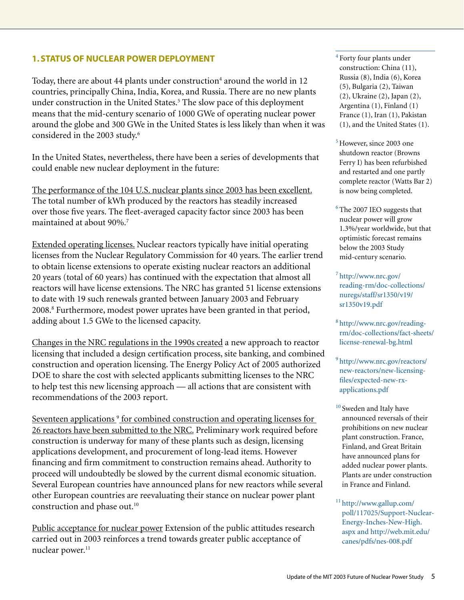#### **1. Status of nuclear power deployment**

Today, there are about 44 plants under construction<sup>4</sup> around the world in 12 countries, principally China, India, Korea, and Russia. There are no new plants under construction in the United States.<sup>5</sup> The slow pace of this deployment means that the mid-century scenario of 1000 GWe of operating nuclear power around the globe and 300 GWe in the United States is less likely than when it was considered in the 2003 study.<sup>6</sup>

In the United States, nevertheless, there have been a series of developments that could enable new nuclear deployment in the future:

The performance of the 104 U.S. nuclear plants since 2003 has been excellent. The total number of kWh produced by the reactors has steadily increased over those five years. The fleet-averaged capacity factor since 2003 has been maintained at about 90%.7

Extended operating licenses. Nuclear reactors typically have initial operating licenses from the Nuclear Regulatory Commission for 40 years. The earlier trend to obtain license extensions to operate existing nuclear reactors an additional 20 years (total of 60 years) has continued with the expectation that almost all reactors will have license extensions. The NRC has granted 51 license extensions to date with 19 such renewals granted between January 2003 and February 2008.8 Furthermore, modest power uprates have been granted in that period, adding about 1.5 GWe to the licensed capacity.

Changes in the NRC regulations in the 1990s created a new approach to reactor licensing that included a design certification process, site banking, and combined construction and operation licensing. The Energy Policy Act of 2005 authorized DOE to share the cost with selected applicants submitting licenses to the NRC to help test this new licensing approach — all actions that are consistent with recommendations of the 2003 report.

Seventeen applications<sup>9</sup> for combined construction and operating licenses for 26 reactors have been submitted to the NRC. Preliminary work required before construction is underway for many of these plants such as design, licensing applications development, and procurement of long-lead items. However financing and firm commitment to construction remains ahead. Authority to proceed will undoubtedly be slowed by the current dismal economic situation. Several European countries have announced plans for new reactors while several other European countries are reevaluating their stance on nuclear power plant construction and phase out.<sup>10</sup>

Public acceptance for nuclear power Extension of the public attitudes research carried out in 2003 reinforces a trend towards greater public acceptance of nuclear power.<sup>11</sup>

<sup>4</sup> Forty four plants under construction: China (11), Russia (8), India (6), Korea (5), Bulgaria (2), Taiwan (2), Ukraine (2), Japan (2), Argentina (1), Finland (1) France (1), Iran (1), Pakistan (1), and the United States (1).

- $<sup>5</sup>$  However, since 2003 one</sup> shutdown reactor (Browns Ferry I) has been refurbished and restarted and one partly complete reactor (Watts Bar 2) is now being completed.
- $6$  The 2007 IEO suggests that nuclear power will grow 1.3%/year worldwide, but that optimistic forecast remains below the 2003 Study mid-century scenario.
- $7$  http://www.nrc.gov/ [reading-rm/doc-collections/](http://www.nrc.gov/ reading-rm/doc-collections/nuregs/staff/sr1350/v19/sr1350v19.pdf) nuregs/staff/sr1350/v19/ sr1350v19.pdf
- [8 http://www.nrc.gov/reading](http://www.nrc.gov/reading-rm/doc-collections/fact-sheets/license-renewal-bg.html)rm/doc-collections/fact-sheets/ license-renewal-bg.html
- [9 http://www.nrc.gov/reactors/](http://www.nrc.gov/reactors/new-reactors/new-licensing-files/expected-new-rx-applications.pdf) new-reactors/new-licensingfiles/expected-new-rxapplications.pdf
- <sup>10</sup> Sweden and Italy have announced reversals of their prohibitions on new nuclear plant construction. France, Finland, and Great Britain have announced plans for added nuclear power plants. Plants are under construction in France and Finland.
- 11 http://www.gallup.com/ [poll/117025/Support-Nuclear-](http://www.gallup.com/poll/117025/Support-Nuclear-Energy-Inches-New-High.aspx and http://web.mit.edu/canes/pdfs/nes-008.pdf)Energy-Inches-New-High. aspx and http://web.mit.edu/ canes/pdfs/nes-008.pdf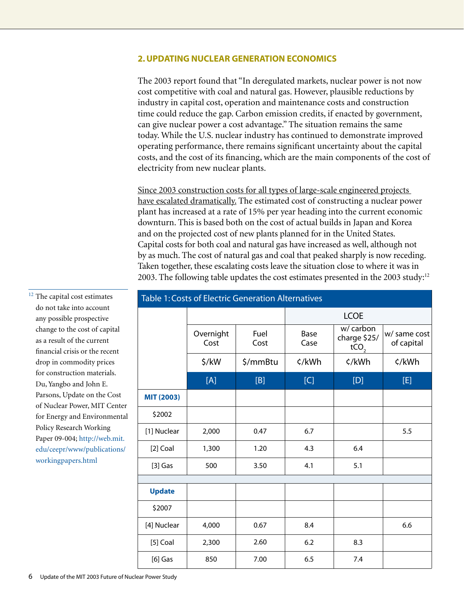#### **2. Updating nuclear generation economics**

The 2003 report found that "In deregulated markets, nuclear power is not now cost competitive with coal and natural gas. However, plausible reductions by industry in capital cost, operation and maintenance costs and construction time could reduce the gap. Carbon emission credits, if enacted by government, can give nuclear power a cost advantage." The situation remains the same today. While the U.S. nuclear industry has continued to demonstrate improved operating performance, there remains significant uncertainty about the capital costs, and the cost of its financing, which are the main components of the cost of electricity from new nuclear plants.

Since 2003 construction costs for all types of large-scale engineered projects have escalated dramatically. The estimated cost of constructing a nuclear power plant has increased at a rate of 15% per year heading into the current economic downturn. This is based both on the cost of actual builds in Japan and Korea and on the projected cost of new plants planned for in the United States. Capital costs for both coal and natural gas have increased as well, although not by as much. The cost of natural gas and coal that peaked sharply is now receding. Taken together, these escalating costs leave the situation close to where it was in 2003. The following table updates the cost estimates presented in the 2003 study: $12$ 

| <b>Table 1: Costs of Electric Generation Alternatives</b> |                   |              |              |                                               |                            |  |
|-----------------------------------------------------------|-------------------|--------------|--------------|-----------------------------------------------|----------------------------|--|
|                                                           |                   |              | <b>LCOE</b>  |                                               |                            |  |
|                                                           | Overnight<br>Cost | Fuel<br>Cost | Base<br>Case | w/ carbon<br>charge \$25/<br>tCO <sub>2</sub> | w/ same cost<br>of capital |  |
|                                                           | \$/kW             | \$/mmBtu     | ¢/kWh        | ¢/kWh                                         | ¢/kWh                      |  |
|                                                           | [A]               | [B]          | [C]          | [D]                                           | [E]                        |  |
| <b>MIT (2003)</b>                                         |                   |              |              |                                               |                            |  |
| \$2002                                                    |                   |              |              |                                               |                            |  |
| [1] Nuclear                                               | 2,000             | 0.47         | 6.7          |                                               | 5.5                        |  |
| [2] Coal                                                  | 1,300             | 1.20         | 4.3          | 6.4                                           |                            |  |
| $[3]$ Gas                                                 | 500               | 3.50         | 4.1          | 5.1                                           |                            |  |
|                                                           |                   |              |              |                                               |                            |  |
| <b>Update</b>                                             |                   |              |              |                                               |                            |  |
| \$2007                                                    |                   |              |              |                                               |                            |  |
| [4] Nuclear                                               | 4,000             | 0.67         | 8.4          |                                               | 6.6                        |  |
| $[5]$ Coal                                                | 2,300             | 2.60         | 6.2          | 8.3                                           |                            |  |
| $[6]$ Gas                                                 | 850               | 7.00         | 6.5          | 7.4                                           |                            |  |

 $^{\rm 12}$  The capital cost estimates do not take into account any possible prospective change to the cost of capital as a result of the current financial crisis or the recent drop in commodity prices for construction materials. Du, Yangbo and John E. Parsons, Update on the Cost of Nuclear Power, MIT Center for Energy and Environmental Policy Research Working Paper 09-004[; http://web.mit.](http://web.mit.edu/ceepr/www/publications/workingpapers.html) [edu/ceepr/www/publications/](http://web.mit.edu/ceepr/www/publications/workingpapers.html) workingpapers.html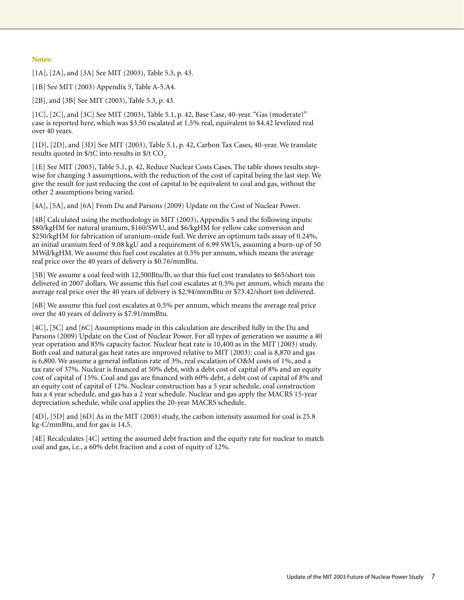#### **Notes:**

[1A], [2A], and [3A] See MIT (2003), Table 5.3, p. 43.

[1B] See MIT (2003) Appendix 5, Table A-5.A4.

[2B], and [3B] See MIT (2003), Table 5.3, p. 43.

[1C], [2C], and [3C] See MIT (2003), Table 5.1, p. 42, Base Case, 40-year. "Gas (moderate)" case is reported here, which was \$3.50 escalated at 1.5% real, equivalent to \$4.42 levelized real over 40 years.

[1D], [2D], and [3D] See MIT (2003), Table 5.1, p. 42, Carbon Tax Cases, 40-year. We translate results quoted in \$/tC into results in \$/t  $\text{CO}_2$ .

[1E] See MIT (2003), Table 5.1, p. 42, Reduce Nuclear Costs Cases. The table shows results stepwise for changing 3 assumptions, with the reduction of the cost of capital being the last step. We give the result for just reducing the cost of capital to be equivalent to coal and gas, without the other 2 assumptions being varied.

[4A], [5A], and [6A] From Du and Parsons (2009) Update on the Cost of Nuclear Power.

[4B] Calculated using the methodology in MIT (2003), Appendix 5 and the following inputs: \$80/kgHM for natural uranium, \$160/SWU, and \$6/kgHM for yellow cake conversion and \$250/kgHM for fabrication of uranium-oxide fuel. We derive an optimum tails assay of 0.24%, an initial uranium feed of 9.08 kgU and a requirement of 6.99 SWUs, assuming a burn-up of 50 MWd/kgHM. We assume this fuel cost escalates at 0.5% per annum, which means the average real price over the 40 years of delivery is \$0.76/mmBtu.

[5B] We assume a coal feed with 12,500Btu/lb, so that this fuel cost translates to \$65/short ton delivered in 2007 dollars. We assume this fuel cost escalates at 0.5% per annum, which means the average real price over the 40 years of delivery is \$2.94/mvmBtu or \$73.42/short ton delivered.

[6B] We assume this fuel cost escalates at 0.5% per annum, which means the average real price over the 40 years of delivery is \$7.91/mmBtu.

[4C], [5C] and [6C] Assumptions made in this calculation are described fully in the Du and Parsons (2009) Update on the Cost of Nuclear Power. For all types of generation we assume a 40 year operation and 85% capacity factor. Nuclear heat rate is 10,400 as in the MIT (2003) study. Both coal and natural gas heat rates are improved relative to MIT (2003): coal is 8,870 and gas is 6,800. We assume a general inflation rate of 3%, real escalation of O&M costs of 1%, and a tax rate of 37%. Nuclear is financed at 50% debt, with a debt cost of capital of 8% and an equity cost of capital of 15%. Coal and gas are financed with 60% debt, a debt cost of capital of 8% and an equity cost of capital of 12%. Nuclear construction has a 5 year schedule, coal construction has a 4 year schedule, and gas has a 2 year schedule. Nuclear and gas apply the MACRS 15-year depreciation schedule, while coal applies the 20-year MACRS schedule.

[4D], [5D] and [6D] As in the MIT (2003) study, the carbon intensity assumed for coal is 25.8 kg-C/mmBtu, and for gas is 14.5.

[4E] Recalculates [4C] setting the assumed debt fraction and the equity rate for nuclear to match coal and gas, i.e., a 60% debt fraction and a cost of equity of 12%.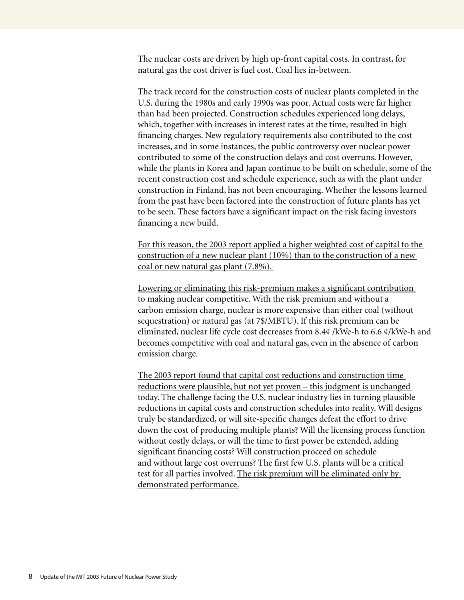The nuclear costs are driven by high up-front capital costs. In contrast, for natural gas the cost driver is fuel cost. Coal lies in-between.

The track record for the construction costs of nuclear plants completed in the U.S. during the 1980s and early 1990s was poor. Actual costs were far higher than had been projected. Construction schedules experienced long delays, which, together with increases in interest rates at the time, resulted in high financing charges. New regulatory requirements also contributed to the cost increases, and in some instances, the public controversy over nuclear power contributed to some of the construction delays and cost overruns. However, while the plants in Korea and Japan continue to be built on schedule, some of the recent construction cost and schedule experience, such as with the plant under construction in Finland, has not been encouraging. Whether the lessons learned from the past have been factored into the construction of future plants has yet to be seen. These factors have a significant impact on the risk facing investors financing a new build.

For this reason, the 2003 report applied a higher weighted cost of capital to the construction of a new nuclear plant (10%) than to the construction of a new coal or new natural gas plant (7.8%).

Lowering or eliminating this risk-premium makes a significant contribution to making nuclear competitive. With the risk premium and without a carbon emission charge, nuclear is more expensive than either coal (without sequestration) or natural gas (at 7\$/MBTU). If this risk premium can be eliminated, nuclear life cycle cost decreases from 8.4¢ /kWe-h to 6.6 ¢/kWe-h and becomes competitive with coal and natural gas, even in the absence of carbon emission charge.

The 2003 report found that capital cost reductions and construction time reductions were plausible, but not yet proven – this judgment is unchanged today. The challenge facing the U.S. nuclear industry lies in turning plausible reductions in capital costs and construction schedules into reality. Will designs truly be standardized, or will site-specific changes defeat the effort to drive down the cost of producing multiple plants? Will the licensing process function without costly delays, or will the time to first power be extended, adding significant financing costs? Will construction proceed on schedule and without large cost overruns? The first few U.S. plants will be a critical test for all parties involved. The risk premium will be eliminated only by demonstrated performance.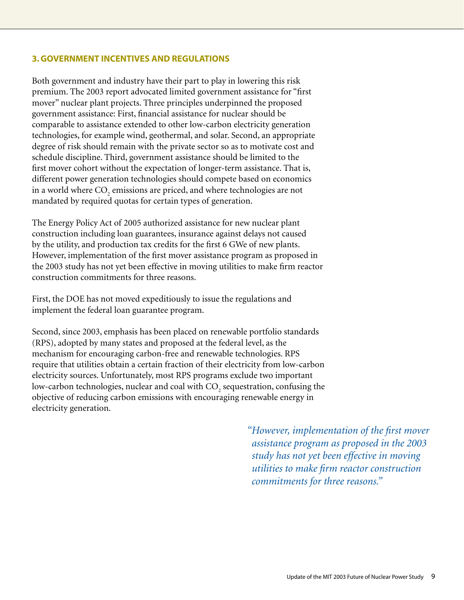#### **3. Government incentives and regulations**

Both government and industry have their part to play in lowering this risk premium. The 2003 report advocated limited government assistance for "first mover" nuclear plant projects. Three principles underpinned the proposed government assistance: First, financial assistance for nuclear should be comparable to assistance extended to other low-carbon electricity generation technologies, for example wind, geothermal, and solar. Second, an appropriate degree of risk should remain with the private sector so as to motivate cost and schedule discipline. Third, government assistance should be limited to the first mover cohort without the expectation of longer-term assistance. That is, different power generation technologies should compete based on economics in a world where  $\mathrm{CO}_\mathrm{2}$  emissions are priced, and where technologies are not mandated by required quotas for certain types of generation.

The Energy Policy Act of 2005 authorized assistance for new nuclear plant construction including loan guarantees, insurance against delays not caused by the utility, and production tax credits for the first 6 GWe of new plants. However, implementation of the first mover assistance program as proposed in the 2003 study has not yet been effective in moving utilities to make firm reactor construction commitments for three reasons.

First, the DOE has not moved expeditiously to issue the regulations and implement the federal loan guarantee program.

Second, since 2003, emphasis has been placed on renewable portfolio standards (RPS), adopted by many states and proposed at the federal level, as the mechanism for encouraging carbon-free and renewable technologies. RPS require that utilities obtain a certain fraction of their electricity from low-carbon electricity sources. Unfortunately, most RPS programs exclude two important low-carbon technologies, nuclear and coal with  $\mathrm{CO}_2$  sequestration, confusing the objective of reducing carbon emissions with encouraging renewable energy in electricity generation.

> *"However, implementation of the first mover assistance program as proposed in the 2003 study has not yet been effective in moving utilities to make firm reactor construction commitments for three reasons."*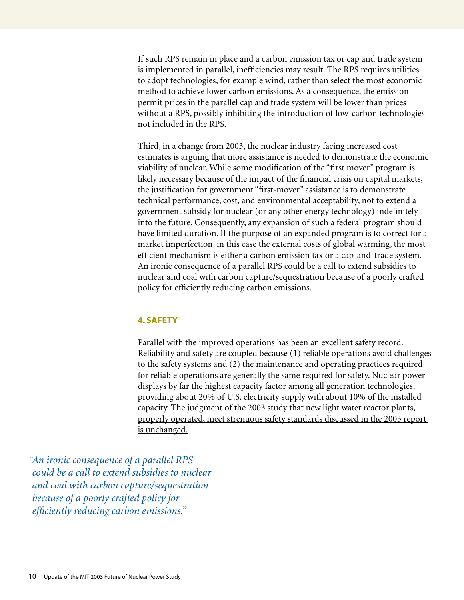If such RPS remain in place and a carbon emission tax or cap and trade system is implemented in parallel, inefficiencies may result. The RPS requires utilities to adopt technologies, for example wind, rather than select the most economic method to achieve lower carbon emissions. As a consequence, the emission permit prices in the parallel cap and trade system will be lower than prices without a RPS, possibly inhibiting the introduction of low-carbon technologies not included in the RPS.

Third, in a change from 2003, the nuclear industry facing increased cost estimates is arguing that more assistance is needed to demonstrate the economic viability of nuclear. While some modification of the "first mover" program is likely necessary because of the impact of the financial crisis on capital markets, the justification for government "first-mover" assistance is to demonstrate technical performance, cost, and environmental acceptability, not to extend a government subsidy for nuclear (or any other energy technology) indefinitely into the future. Consequently, any expansion of such a federal program should have limited duration. If the purpose of an expanded program is to correct for a market imperfection, in this case the external costs of global warming, the most efficient mechanism is either a carbon emission tax or a cap-and-trade system. An ironic consequence of a parallel RPS could be a call to extend subsidies to nuclear and coal with carbon capture/sequestration because of a poorly crafted policy for efficiently reducing carbon emissions.

#### **4. Safety**

Parallel with the improved operations has been an excellent safety record. Reliability and safety are coupled because (1) reliable operations avoid challenges to the safety systems and (2) the maintenance and operating practices required for reliable operations are generally the same required for safety. Nuclear power displays by far the highest capacity factor among all generation technologies, providing about 20% of U.S. electricity supply with about 10% of the installed capacity. The judgment of the 2003 study that new light water reactor plants, properly operated, meet strenuous safety standards discussed in the 2003 report is unchanged.

*"An ironic consequence of a parallel RPS could be a call to extend subsidies to nuclear and coal with carbon capture/sequestration because of a poorly crafted policy for efficiently reducing carbon emissions."*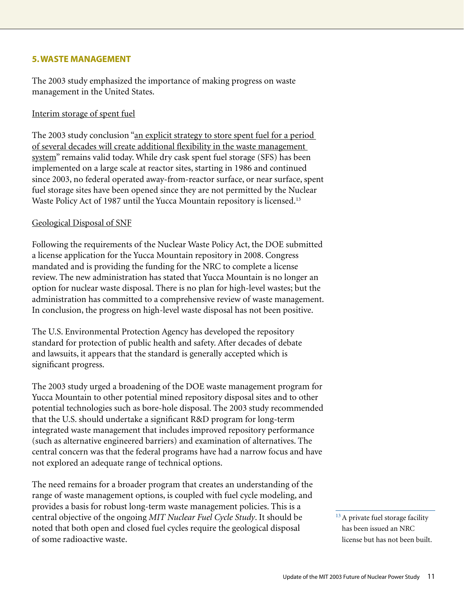#### **5. Waste management**

The 2003 study emphasized the importance of making progress on waste management in the United States.

#### Interim storage of spent fuel

The 2003 study conclusion "an explicit strategy to store spent fuel for a period of several decades will create additional flexibility in the waste management system" remains valid today. While dry cask spent fuel storage (SFS) has been implemented on a large scale at reactor sites, starting in 1986 and continued since 2003, no federal operated away-from-reactor surface, or near surface, spent fuel storage sites have been opened since they are not permitted by the Nuclear Waste Policy Act of 1987 until the Yucca Mountain repository is licensed.<sup>13</sup>

#### Geological Disposal of SNF

Following the requirements of the Nuclear Waste Policy Act, the DOE submitted a license application for the Yucca Mountain repository in 2008. Congress mandated and is providing the funding for the NRC to complete a license review. The new administration has stated that Yucca Mountain is no longer an option for nuclear waste disposal. There is no plan for high-level wastes; but the administration has committed to a comprehensive review of waste management. In conclusion, the progress on high-level waste disposal has not been positive.

The U.S. Environmental Protection Agency has developed the repository standard for protection of public health and safety. After decades of debate and lawsuits, it appears that the standard is generally accepted which is significant progress.

The 2003 study urged a broadening of the DOE waste management program for Yucca Mountain to other potential mined repository disposal sites and to other potential technologies such as bore-hole disposal. The 2003 study recommended that the U.S. should undertake a significant R&D program for long-term integrated waste management that includes improved repository performance (such as alternative engineered barriers) and examination of alternatives. The central concern was that the federal programs have had a narrow focus and have not explored an adequate range of technical options.

The need remains for a broader program that creates an understanding of the range of waste management options, is coupled with fuel cycle modeling, and provides a basis for robust long-term waste management policies. This is a central objective of the ongoing *MIT Nuclear Fuel Cycle Study*. It should be noted that both open and closed fuel cycles require the geological disposal of some radioactive waste.

<sup>&</sup>lt;sup>13</sup> A private fuel storage facility has been issued an NRC license but has not been built.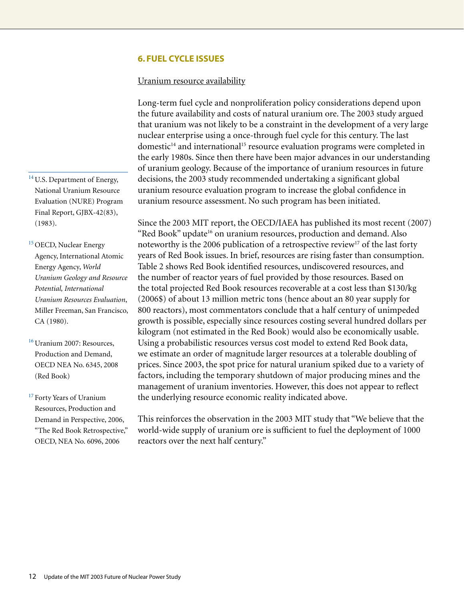#### **6. Fuel cycle issues**

#### Uranium resource availability

Long-term fuel cycle and nonproliferation policy considerations depend upon the future availability and costs of natural uranium ore. The 2003 study argued that uranium was not likely to be a constraint in the development of a very large nuclear enterprise using a once-through fuel cycle for this century. The last domestic<sup>14</sup> and international<sup>15</sup> resource evaluation programs were completed in the early 1980s. Since then there have been major advances in our understanding of uranium geology. Because of the importance of uranium resources in future decisions, the 2003 study recommended undertaking a significant global uranium resource evaluation program to increase the global confidence in uranium resource assessment. No such program has been initiated.

Since the 2003 MIT report, the OECD/IAEA has published its most recent (2007) "Red Book" update<sup>16</sup> on uranium resources, production and demand. Also noteworthy is the 2006 publication of a retrospective review<sup>17</sup> of the last forty years of Red Book issues. In brief, resources are rising faster than consumption. Table 2 shows Red Book identified resources, undiscovered resources, and the number of reactor years of fuel provided by those resources. Based on the total projected Red Book resources recoverable at a cost less than \$130/kg (2006\$) of about 13 million metric tons (hence about an 80 year supply for 800 reactors), most commentators conclude that a half century of unimpeded growth is possible, especially since resources costing several hundred dollars per kilogram (not estimated in the Red Book) would also be economically usable. Using a probabilistic resources versus cost model to extend Red Book data, we estimate an order of magnitude larger resources at a tolerable doubling of prices. Since 2003, the spot price for natural uranium spiked due to a variety of factors, including the temporary shutdown of major producing mines and the management of uranium inventories. However, this does not appear to reflect the underlying resource economic reality indicated above.

This reinforces the observation in the 2003 MIT study that "We believe that the world-wide supply of uranium ore is sufficient to fuel the deployment of 1000 reactors over the next half century."

<sup>14</sup> U.S. Department of Energy, National Uranium Resource Evaluation (NURE) Program Final Report, GJBX-42(83), (1983).

<sup>15</sup> OECD, Nuclear Energy Agency, International Atomic Energy Agency, *World Uranium Geology and Resource Potential, International Uranium Resources Evaluation*, Miller Freeman, San Francisco, CA (1980).

<sup>16</sup> Uranium 2007: Resources, Production and Demand, OECD NEA No. 6345, 2008 (Red Book)

<sup>17</sup> Forty Years of Uranium Resources, Production and Demand in Perspective, 2006, "The Red Book Retrospective," OECD, NEA No. 6096, 2006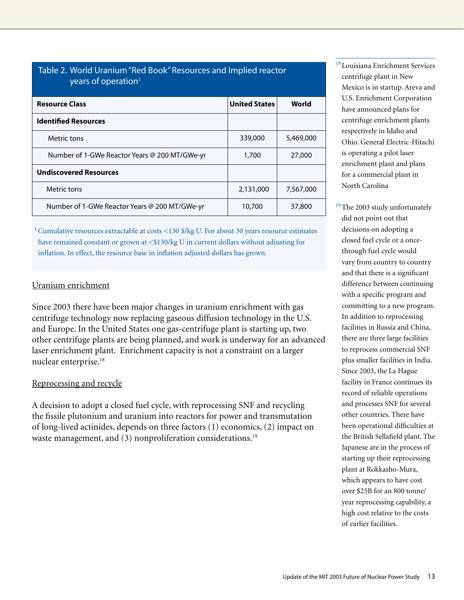| years of operation <sup>1</sup>               |                      |           |
|-----------------------------------------------|----------------------|-----------|
| <b>Resource Class</b>                         | <b>United States</b> | World     |
| <b>Identified Resources</b>                   |                      |           |
| Metric tons                                   | 339,000              | 5,469,000 |
| Number of 1-GWe Reactor Years @ 200 MT/GWe-yr | 1,700                | 27,000    |
| <b>Undiscovered Resources</b>                 |                      |           |
| Metric tons                                   | 2,131,000            | 7,567,000 |
| Number of 1-GWe Reactor Years @ 200 MT/GWe-yr | 10,700               | 37,800    |

Table 2. World Uranium "Red Book" Resources and Implied reactor

<sup>1</sup> Cumulative resources extractable at costs <130 \$/kg U. For about 30 years resource estimates have remained constant or grown at <\$130/kg U in current dollars without adjusting for inflation. In effect, the resource base in inflation adjusted dollars has grown.

#### Uranium enrichment

Since 2003 there have been major changes in uranium enrichment with gas centrifuge technology now replacing gaseous diffusion technology in the U.S. and Europe. In the United States one gas-centrifuge plant is starting up, two other centrifuge plants are being planned, and work is underway for an advanced laser enrichment plant. Enrichment capacity is not a constraint on a larger nuclear enterprise.18

#### Reprocessing and recycle

A decision to adopt a closed fuel cycle, with reprocessing SNF and recycling the fissile plutonium and uranium into reactors for power and transmutation of long-lived actinides, depends on three factors (1) economics, (2) impact on waste management, and (3) nonproliferation considerations.<sup>19</sup>

<sup>18</sup> Louisiana Enrichment Services centrifuge plant in New Mexico is in startup. Areva and U.S. Enrichment Corporation have announced plans for centrifuge enrichment plants respectively in Idaho and Ohio. General Electric-Hitachi is operating a pilot laser enrichment plant and plans for a commercial plant in North Carolina

<sup>19</sup>The 2003 study unfortunately did not point out that decisions on adopting a closed fuel cycle or a oncethrough fuel cycle would vary from country to country and that there is a significant difference between continuing with a specific program and committing to a new program. In addition to reprocessing facilities in Russia and China, there are three large facilities to reprocess commercial SNF plus smaller facilities in India. Since 2003, the La Hague facility in France continues its record of reliable operations and processes SNF for several other countries. There have been operational difficulties at the British Sellafield plant. The Japanese are in the process of starting up their reprocessing plant at Rokkasho-Mura, which appears to have cost over \$25B for an 800 tonne/ year reprocessing capability, a high cost relative to the costs of earlier facilities.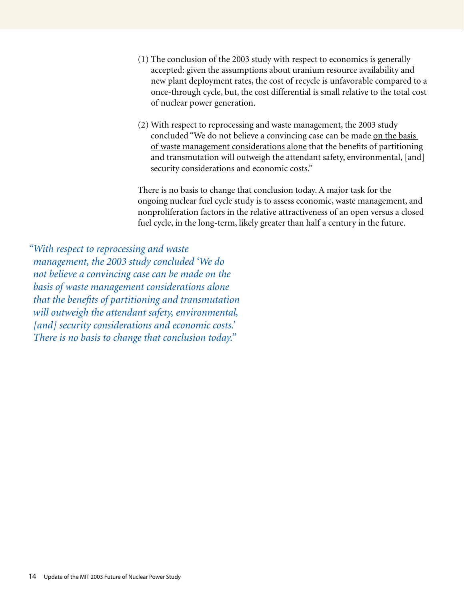- (1) The conclusion of the 2003 study with respect to economics is generally accepted: given the assumptions about uranium resource availability and new plant deployment rates, the cost of recycle is unfavorable compared to a once-through cycle, but, the cost differential is small relative to the total cost of nuclear power generation.
- (2) With respect to reprocessing and waste management, the 2003 study concluded "We do not believe a convincing case can be made on the basis of waste management considerations alone that the benefits of partitioning and transmutation will outweigh the attendant safety, environmental, [and] security considerations and economic costs."

There is no basis to change that conclusion today. A major task for the ongoing nuclear fuel cycle study is to assess economic, waste management, and nonproliferation factors in the relative attractiveness of an open versus a closed fuel cycle, in the long-term, likely greater than half a century in the future.

*"With respect to reprocessing and waste management, the 2003 study concluded 'We do not believe a convincing case can be made on the basis of waste management considerations alone that the benefits of partitioning and transmutation will outweigh the attendant safety, environmental, [and] security considerations and economic costs.' There is no basis to change that conclusion today."*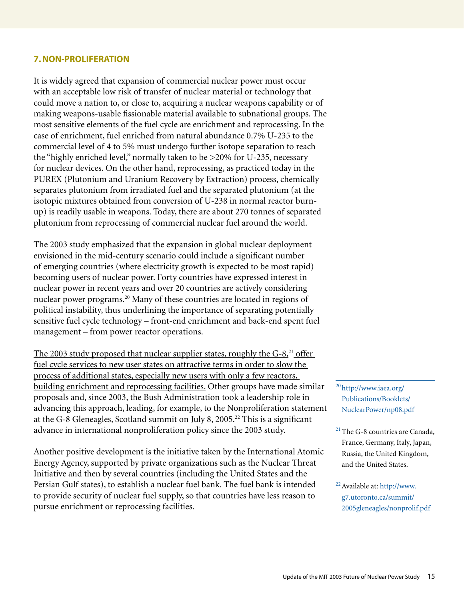#### **7. Non-Proliferation**

It is widely agreed that expansion of commercial nuclear power must occur with an acceptable low risk of transfer of nuclear material or technology that could move a nation to, or close to, acquiring a nuclear weapons capability or of making weapons-usable fissionable material available to subnational groups. The most sensitive elements of the fuel cycle are enrichment and reprocessing. In the case of enrichment, fuel enriched from natural abundance 0.7% U-235 to the commercial level of 4 to 5% must undergo further isotope separation to reach the "highly enriched level," normally taken to be >20% for U-235, necessary for nuclear devices. On the other hand, reprocessing, as practiced today in the PUREX (Plutonium and Uranium Recovery by Extraction) process, chemically separates plutonium from irradiated fuel and the separated plutonium (at the isotopic mixtures obtained from conversion of U-238 in normal reactor burnup) is readily usable in weapons. Today, there are about 270 tonnes of separated plutonium from reprocessing of commercial nuclear fuel around the world.

The 2003 study emphasized that the expansion in global nuclear deployment envisioned in the mid-century scenario could include a significant number of emerging countries (where electricity growth is expected to be most rapid) becoming users of nuclear power. Forty countries have expressed interest in nuclear power in recent years and over 20 countries are actively considering nuclear power programs.<sup>20</sup> Many of these countries are located in regions of political instability, thus underlining the importance of separating potentially sensitive fuel cycle technology – front-end enrichment and back-end spent fuel management – from power reactor operations.

The 2003 study proposed that nuclear supplier states, roughly the  $G-8<sub>1</sub><sup>21</sup>$  offer fuel cycle services to new user states on attractive terms in order to slow the process of additional states, especially new users with only a few reactors, building enrichment and reprocessing facilities. Other groups have made similar proposals and, since 2003, the Bush Administration took a leadership role in advancing this approach, leading, for example, to the Nonproliferation statement at the G-8 Gleneagles, Scotland summit on July 8, 2005.<sup>22</sup> This is a significant advance in international nonproliferation policy since the 2003 study.

Another positive development is the initiative taken by the International Atomic Energy Agency, supported by private organizations such as the Nuclear Threat Initiative and then by several countries (including the United States and the Persian Gulf states), to establish a nuclear fuel bank. The fuel bank is intended to provide security of nuclear fuel supply, so that countries have less reason to pursue enrichment or reprocessing facilities.

<sup>20</sup> http://www.iaea.org/ Publications/Booklets/ [NuclearPower/np08.pdf](http://www.iaea.org/Publications/Booklets/NuclearPower/np08.pdf)

- 21The G-8 countries are Canada, France, Germany, Italy, Japan, Russia, the United Kingdom, and the United States.
- 22Available at: [http://www.](http://www.g7.utoronto.ca/summit/2005gleneagles/nonprolif.pdf) g7.utoronto.ca/summit/ [2005gleneagles/nonprolif.pdf](http://www.g7.utoronto.ca/summit/2005gleneagles/nonprolif.pdf)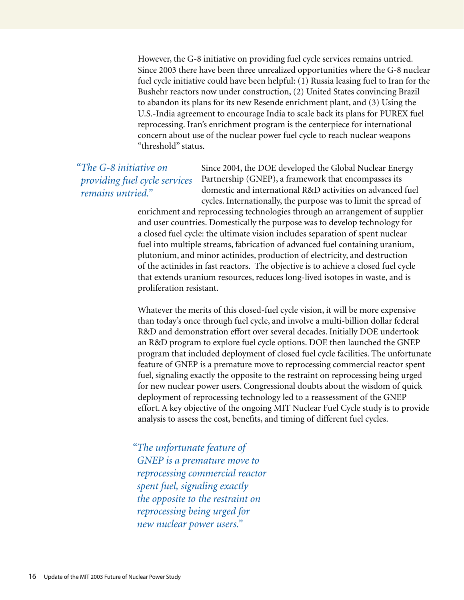However, the G-8 initiative on providing fuel cycle services remains untried. Since 2003 there have been three unrealized opportunities where the G-8 nuclear fuel cycle initiative could have been helpful: (1) Russia leasing fuel to Iran for the Bushehr reactors now under construction, (2) United States convincing Brazil to abandon its plans for its new Resende enrichment plant, and (3) Using the U.S.-India agreement to encourage India to scale back its plans for PUREX fuel reprocessing. Iran's enrichment program is the centerpiece for international concern about use of the nuclear power fuel cycle to reach nuclear weapons "threshold" status.

*"The G-8 initiative on providing fuel cycle services remains untried."*

Since 2004, the DOE developed the Global Nuclear Energy Partnership (GNEP), a framework that encompasses its domestic and international R&D activities on advanced fuel cycles. Internationally, the purpose was to limit the spread of

enrichment and reprocessing technologies through an arrangement of supplier and user countries. Domestically the purpose was to develop technology for a closed fuel cycle: the ultimate vision includes separation of spent nuclear fuel into multiple streams, fabrication of advanced fuel containing uranium, plutonium, and minor actinides, production of electricity, and destruction of the actinides in fast reactors. The objective is to achieve a closed fuel cycle that extends uranium resources, reduces long-lived isotopes in waste, and is proliferation resistant.

Whatever the merits of this closed-fuel cycle vision, it will be more expensive than today's once through fuel cycle, and involve a multi-billion dollar federal R&D and demonstration effort over several decades. Initially DOE undertook an R&D program to explore fuel cycle options. DOE then launched the GNEP program that included deployment of closed fuel cycle facilities. The unfortunate feature of GNEP is a premature move to reprocessing commercial reactor spent fuel, signaling exactly the opposite to the restraint on reprocessing being urged for new nuclear power users. Congressional doubts about the wisdom of quick deployment of reprocessing technology led to a reassessment of the GNEP effort. A key objective of the ongoing MIT Nuclear Fuel Cycle study is to provide analysis to assess the cost, benefits, and timing of different fuel cycles.

*"The unfortunate feature of GNEP is a premature move to reprocessing commercial reactor spent fuel, signaling exactly the opposite to the restraint on reprocessing being urged for new nuclear power users."*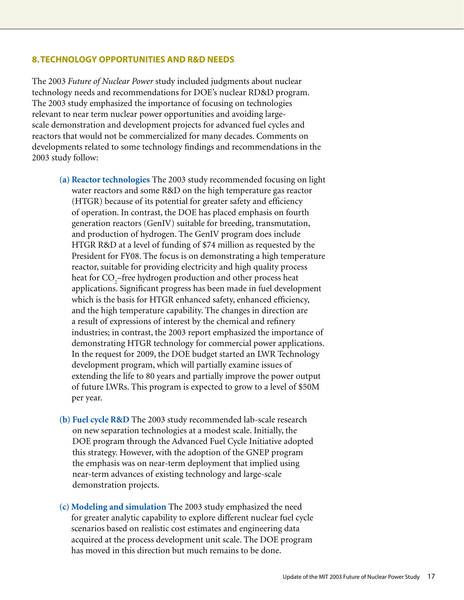#### **8. Technology opportunities and R&D needs**

The 2003 *Future of Nuclear Power* study included judgments about nuclear technology needs and recommendations for DOE's nuclear RD&D program. The 2003 study emphasized the importance of focusing on technologies relevant to near term nuclear power opportunities and avoiding largescale demonstration and development projects for advanced fuel cycles and reactors that would not be commercialized for many decades. Comments on developments related to some technology findings and recommendations in the 2003 study follow:

- **(a) Reactor technologies** The 2003 study recommended focusing on light water reactors and some R&D on the high temperature gas reactor (HTGR) because of its potential for greater safety and efficiency of operation. In contrast, the DOE has placed emphasis on fourth generation reactors (GenIV) suitable for breeding, transmutation, and production of hydrogen. The GenIV program does include HTGR R&D at a level of funding of \$74 million as requested by the President for FY08. The focus is on demonstrating a high temperature reactor, suitable for providing electricity and high quality process heat for  $\mathrm{CO}_2\text{--}$ free hydrogen production and other process heat applications. Significant progress has been made in fuel development which is the basis for HTGR enhanced safety, enhanced efficiency, and the high temperature capability. The changes in direction are a result of expressions of interest by the chemical and refinery industries; in contrast, the 2003 report emphasized the importance of demonstrating HTGR technology for commercial power applications. In the request for 2009, the DOE budget started an LWR Technology development program, which will partially examine issues of extending the life to 80 years and partially improve the power output of future LWRs. This program is expected to grow to a level of \$50M per year.
- **(b) Fuel cycle R&D** The 2003 study recommended lab-scale research on new separation technologies at a modest scale. Initially, the DOE program through the Advanced Fuel Cycle Initiative adopted this strategy. However, with the adoption of the GNEP program the emphasis was on near-term deployment that implied using near-term advances of existing technology and large-scale demonstration projects.
- **(c) Modeling and simulation** The 2003 study emphasized the need for greater analytic capability to explore different nuclear fuel cycle scenarios based on realistic cost estimates and engineering data acquired at the process development unit scale. The DOE program has moved in this direction but much remains to be done.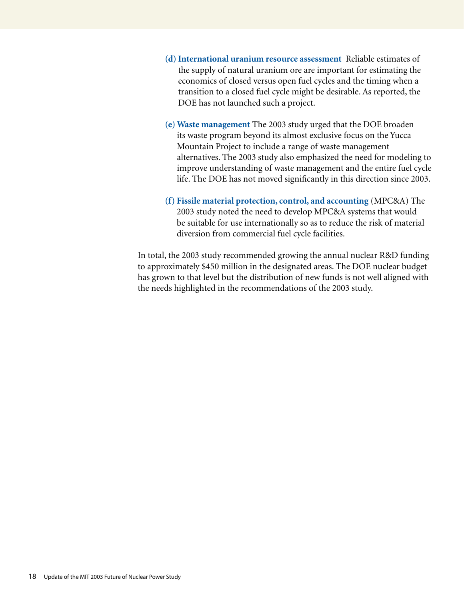- **(d) International uranium resource assessment** Reliable estimates of the supply of natural uranium ore are important for estimating the economics of closed versus open fuel cycles and the timing when a transition to a closed fuel cycle might be desirable. As reported, the DOE has not launched such a project.
- **(e) Waste management** The 2003 study urged that the DOE broaden its waste program beyond its almost exclusive focus on the Yucca Mountain Project to include a range of waste management alternatives. The 2003 study also emphasized the need for modeling to improve understanding of waste management and the entire fuel cycle life. The DOE has not moved significantly in this direction since 2003.
- **(f) Fissile material protection, control, and accounting** (MPC&A) The 2003 study noted the need to develop MPC&A systems that would be suitable for use internationally so as to reduce the risk of material diversion from commercial fuel cycle facilities.

In total, the 2003 study recommended growing the annual nuclear R&D funding to approximately \$450 million in the designated areas. The DOE nuclear budget has grown to that level but the distribution of new funds is not well aligned with the needs highlighted in the recommendations of the 2003 study.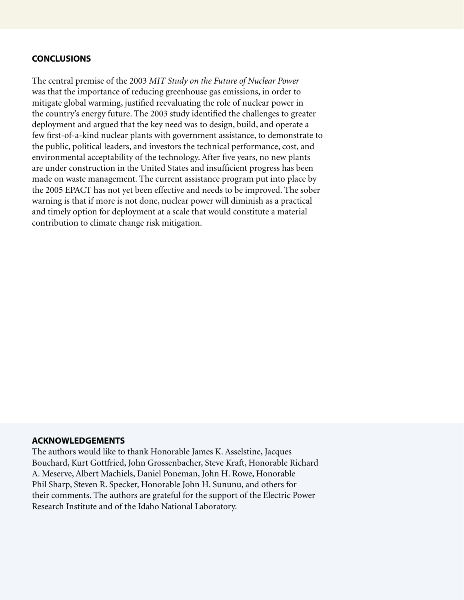#### **Conclusions**

The central premise of the 2003 *MIT Study on the Future of Nuclear Power*  was that the importance of reducing greenhouse gas emissions, in order to mitigate global warming, justified reevaluating the role of nuclear power in the country's energy future. The 2003 study identified the challenges to greater deployment and argued that the key need was to design, build, and operate a few first-of-a-kind nuclear plants with government assistance, to demonstrate to the public, political leaders, and investors the technical performance, cost, and environmental acceptability of the technology. After five years, no new plants are under construction in the United States and insufficient progress has been made on waste management. The current assistance program put into place by the 2005 EPACT has not yet been effective and needs to be improved. The sober warning is that if more is not done, nuclear power will diminish as a practical and timely option for deployment at a scale that would constitute a material contribution to climate change risk mitigation.

#### **Acknowledgements**

The authors would like to thank Honorable James K. Asselstine, Jacques Bouchard, Kurt Gottfried, John Grossenbacher, Steve Kraft, Honorable Richard A. Meserve, Albert Machiels, Daniel Poneman, John H. Rowe, Honorable Phil Sharp, Steven R. Specker, Honorable John H. Sununu, and others for their comments. The authors are grateful for the support of the Electric Power Research Institute and of the Idaho National Laboratory.